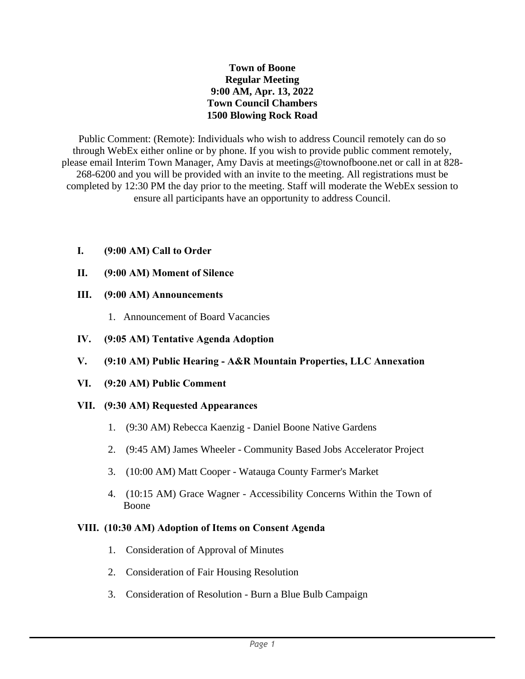### **Town of Boone Regular Meeting 9:00 AM, Apr. 13, 2022 Town Council Chambers 1500 Blowing Rock Road**

Public Comment: (Remote): Individuals who wish to address Council remotely can do so through WebEx either online or by phone. If you wish to provide public comment remotely, please email Interim Town Manager, Amy Davis at meetings@townofboone.net or call in at 828- 268-6200 and you will be provided with an invite to the meeting. All registrations must be completed by 12:30 PM the day prior to the meeting. Staff will moderate the WebEx session to ensure all participants have an opportunity to address Council.

# **I. (9:00 AM) Call to Order**

# **II. (9:00 AM) Moment of Silence**

# **III. (9:00 AM) Announcements**

- 1. Announcement of Board Vacancies
- **IV. (9:05 AM) Tentative Agenda Adoption**
- **V. (9:10 AM) Public Hearing - A&R Mountain Properties, LLC Annexation**
- **VI. (9:20 AM) Public Comment**

# **VII. (9:30 AM) Requested Appearances**

- 1. (9:30 AM) Rebecca Kaenzig Daniel Boone Native Gardens
- 2. (9:45 AM) James Wheeler Community Based Jobs Accelerator Project
- 3. (10:00 AM) Matt Cooper Watauga County Farmer's Market
- 4. (10:15 AM) Grace Wagner Accessibility Concerns Within the Town of Boone

### **VIII. (10:30 AM) Adoption of Items on Consent Agenda**

- 1. Consideration of Approval of Minutes
- 2. Consideration of Fair Housing Resolution
- 3. Consideration of Resolution Burn a Blue Bulb Campaign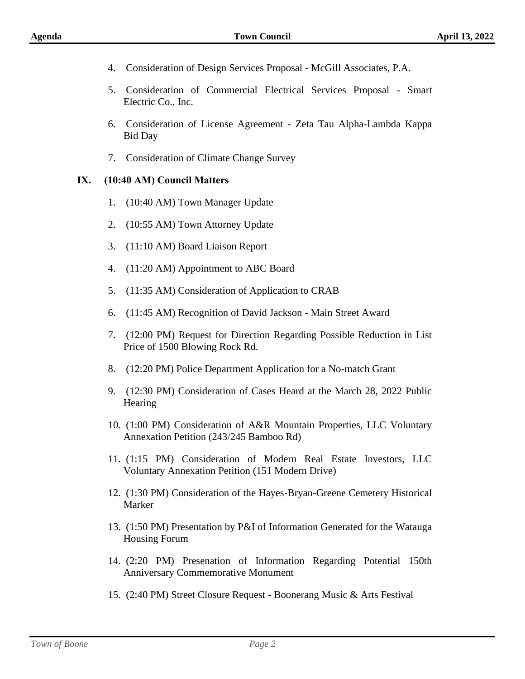- 4. Consideration of Design Services Proposal McGill Associates, P.A.
- 5. Consideration of Commercial Electrical Services Proposal Smart Electric Co., Inc.
- 6. Consideration of License Agreement Zeta Tau Alpha-Lambda Kappa Bid Day
- 7. Consideration of Climate Change Survey

#### **IX. (10:40 AM) Council Matters**

- 1. (10:40 AM) Town Manager Update
- 2. (10:55 AM) Town Attorney Update
- 3. (11:10 AM) Board Liaison Report
- 4. (11:20 AM) Appointment to ABC Board
- 5. (11:35 AM) Consideration of Application to CRAB
- 6. (11:45 AM) Recognition of David Jackson Main Street Award
- 7. (12:00 PM) Request for Direction Regarding Possible Reduction in List Price of 1500 Blowing Rock Rd.
- 8. (12:20 PM) Police Department Application for a No-match Grant
- 9. (12:30 PM) Consideration of Cases Heard at the March 28, 2022 Public **Hearing**
- 10. (1:00 PM) Consideration of A&R Mountain Properties, LLC Voluntary Annexation Petition (243/245 Bamboo Rd)
- 11. (1:15 PM) Consideration of Modern Real Estate Investors, LLC Voluntary Annexation Petition (151 Modern Drive)
- 12. (1:30 PM) Consideration of the Hayes-Bryan-Greene Cemetery Historical Marker
- 13. (1:50 PM) Presentation by P&I of Information Generated for the Watauga Housing Forum
- 14. (2:20 PM) Presenation of Information Regarding Potential 150th Anniversary Commemorative Monument
- 15. (2:40 PM) Street Closure Request Boonerang Music & Arts Festival